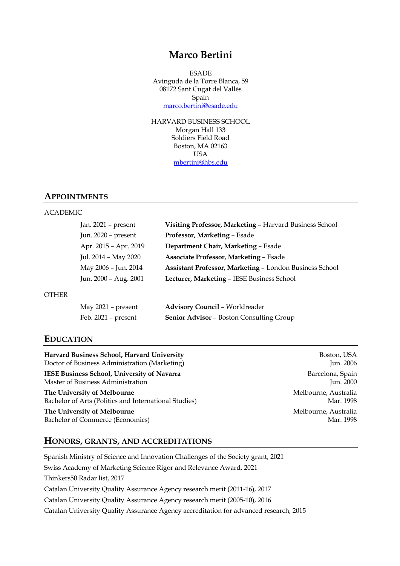# **Marco Bertini**

**ESADE** Avinguda de la Torre Blanca, 59 08172 Sant Cugat del Vallès Spain marco.bertini@esade.edu

HARVARD BUSINESS SCHOOL Morgan Hall 133 Soldiers Field Road Boston, MA 02163 USA mbertini@hbs.edu

### **APPOINTMENTS**

### ACADEMIC

| Jan. $2021$ – present | Visiting Professor, Marketing - Harvard Business School |
|-----------------------|---------------------------------------------------------|
| Jun. 2020 - present   | Professor, Marketing - Esade                            |
| Apr. 2015 - Apr. 2019 | Department Chair, Marketing - Esade                     |
| Jul. 2014 - May 2020  | <b>Associate Professor, Marketing - Esade</b>           |
| May 2006 - Jun. 2014  | Assistant Professor, Marketing - London Business School |
| Jun. 2000 - Aug. 2001 | Lecturer, Marketing - IESE Business School              |
|                       |                                                         |

#### **OTHER**

| May 2021 - present  | <b>Advisory Council - Worldreader</b>           |
|---------------------|-------------------------------------------------|
| Feb. 2021 – present | <b>Senior Advisor - Boston Consulting Group</b> |

# **EDUCATION**

Harvard Business School, Harvard University **Boston, USA** Doctor of Business Administration (Marketing) Jun. 2006

**IESE Business School, University of Navarra** Barcelona, Spain Barcelona, Spain Master of Business Administration Jun. 2000

**The University of Melbourne** Melbourne, Australia Bachelor of Arts (Politics and International Studies) Mar. 1998

**The University of Melbourne**<br>
Bachelor of Commerce (Economics) **Melbourne, Australia**<br>
Mar. 1998 Bachelor of Commerce (Economics)

### **HONORS, GRANTS, AND ACCREDITATIONS**

Spanish Ministry of Science and Innovation Challenges of the Society grant, 2021 Swiss Academy of Marketing Science Rigor and Relevance Award, 2021 Thinkers50 Radar list, 2017 Catalan University Quality Assurance Agency research merit (2011-16), 2017 Catalan University Quality Assurance Agency research merit (2005-10), 2016 Catalan University Quality Assurance Agency accreditation for advanced research, 2015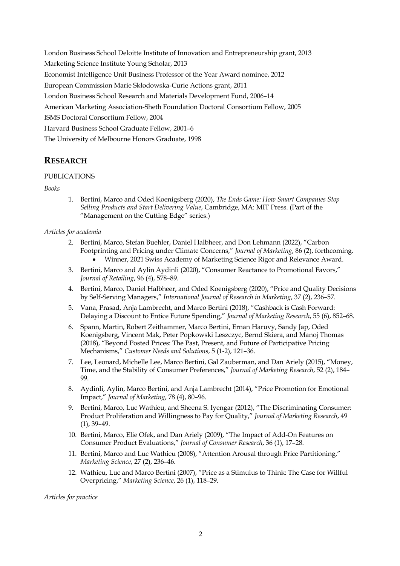London Business School Deloitte Institute of Innovation and Entrepreneurship grant, 2013 Marketing Science Institute Young Scholar, 2013 Economist Intelligence Unit Business Professor of the Year Award nominee, 2012 European Commission Marie Skłodowska-Curie Actions grant, 2011 London Business School Research and Materials Development Fund, 2006–14 American Marketing Association-Sheth Foundation Doctoral Consortium Fellow, 2005 ISMS Doctoral Consortium Fellow, 2004 Harvard Business School Graduate Fellow, 2001–6 The University of Melbourne Honors Graduate, 1998

# **RESEARCH**

# PUBLICATIONS

# *Books*

1. Bertini, Marco and Oded Koenigsberg (2020), *The Ends Game: How Smart Companies Stop Selling Products and Start Delivering Value*, Cambridge, MA: MIT Press. (Part of the "Management on the Cutting Edge" series.)

### *Articles for academia*

- 2. Bertini, Marco, Stefan Buehler, Daniel Halbheer, and Don Lehmann (2022), "Carbon Footprinting and Pricing under Climate Concerns," *Journal of Marketing*, 86 (2), forthcoming. • Winner, 2021 Swiss Academy of Marketing Science Rigor and Relevance Award.
- 3. Bertini, Marco and Aylin Aydinli (2020), "Consumer Reactance to Promotional Favors," *Journal of Retailing*, 96 (4), 578–89.
- 4. Bertini, Marco, Daniel Halbheer, and Oded Koenigsberg (2020), "Price and Quality Decisions by Self-Serving Managers," *International Journal of Research in Marketing*, 37 (2), 236–57.
- 5. Vana, Prasad, Anja Lambrecht, and Marco Bertini (2018), "Cashback is Cash Forward: Delaying a Discount to Entice Future Spending," *Journal of Marketing Research*, 55 (6), 852–68.
- 6. Spann, Martin, Robert Zeithammer, Marco Bertini, Ernan Haruvy, Sandy Jap, Oded Koenigsberg, Vincent Mak, Peter Popkowski Leszczyc, Bernd Skiera, and Manoj Thomas (2018), "Beyond Posted Prices: The Past, Present, and Future of Participative Pricing Mechanisms," *Customer Needs and Solutions*, 5 (1-2), 121–36.
- 7. Lee, Leonard, Michelle Lee, Marco Bertini, Gal Zauberman, and Dan Ariely (2015), "Money, Time, and the Stability of Consumer Preferences," *Journal of Marketing Research*, 52 (2), 184– 99.
- 8. Aydinli, Aylin, Marco Bertini, and Anja Lambrecht (2014), "Price Promotion for Emotional Impact," *Journal of Marketing*, 78 (4), 80–96.
- 9. Bertini, Marco, Luc Wathieu, and Sheena S. Iyengar (2012), "The Discriminating Consumer: Product Proliferation and Willingness to Pay for Quality," *Journal of Marketing Research*, 49 (1), 39–49.
- 10. Bertini, Marco, Elie Ofek, and Dan Ariely (2009), "The Impact of Add-On Features on Consumer Product Evaluations," *Journal of Consumer Research*, 36 (1), 17–28.
- 11. Bertini, Marco and Luc Wathieu (2008), "Attention Arousal through Price Partitioning," *Marketing Science*, 27 (2), 236–46.
- 12. Wathieu, Luc and Marco Bertini (2007), "Price as a Stimulus to Think: The Case for Willful Overpricing," *Marketing Science*, 26 (1), 118–29.

*Articles for practice*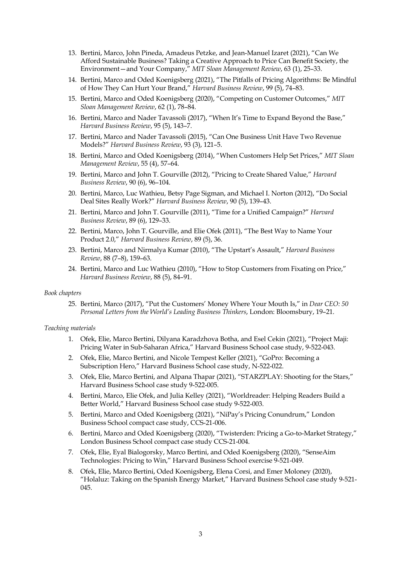- 13. Bertini, Marco, John Pineda, Amadeus Petzke, and Jean-Manuel Izaret (2021), "Can We Afford Sustainable Business? Taking a Creative Approach to Price Can Benefit Society, the Environment—and Your Company," *MIT Sloan Management Review*, 63 (1), 25–33.
- 14. Bertini, Marco and Oded Koenigsberg (2021), "The Pitfalls of Pricing Algorithms: Be Mindful of How They Can Hurt Your Brand," *Harvard Business Review*, 99 (5), 74–83.
- 15. Bertini, Marco and Oded Koenigsberg (2020), "Competing on Customer Outcomes," *MIT Sloan Management Review*, 62 (1), 78–84.
- 16. Bertini, Marco and Nader Tavassoli (2017), "When It's Time to Expand Beyond the Base," *Harvard Business Review*, 95 (5), 143–7.
- 17. Bertini, Marco and Nader Tavassoli (2015), "Can One Business Unit Have Two Revenue Models?" *Harvard Business Review*, 93 (3), 121–5.
- 18. Bertini, Marco and Oded Koenigsberg (2014), "When Customers Help Set Prices," *MIT Sloan Management Review*, 55 (4), 57–64.
- 19. Bertini, Marco and John T. Gourville (2012), "Pricing to Create Shared Value," *Harvard Business Review*, 90 (6), 96–104.
- 20. Bertini, Marco, Luc Wathieu, Betsy Page Sigman, and Michael I. Norton (2012), "Do Social Deal Sites Really Work?" *Harvard Business Review*, 90 (5), 139–43.
- 21. Bertini, Marco and John T. Gourville (2011), "Time for a Unified Campaign?" *Harvard Business Review*, 89 (6), 129–33.
- 22. Bertini, Marco, John T. Gourville, and Elie Ofek (2011), "The Best Way to Name Your Product 2.0," *Harvard Business Review*, 89 (5), 36.
- 23. Bertini, Marco and Nirmalya Kumar (2010), "The Upstart's Assault," *Harvard Business Review*, 88 (7–8), 159–63.
- 24. Bertini, Marco and Luc Wathieu (2010), "How to Stop Customers from Fixating on Price," *Harvard Business Review*, 88 (5), 84–91.

### *Book chapters*

25. Bertini, Marco (2017), "Put the Customers' Money Where Your Mouth Is," in *Dear CEO: 50 Personal Letters from the World's Leading Business Thinkers*, London: Bloomsbury, 19–21.

#### *Teaching materials*

- 1. Ofek, Elie, Marco Bertini, Dilyana Karadzhova Botha, and Esel Cekin (2021), "Project Maji: Pricing Water in Sub-Saharan Africa," Harvard Business School case study, 9-522-043.
- 2. Ofek, Elie, Marco Bertini, and Nicole Tempest Keller (2021), "GoPro: Becoming a Subscription Hero," Harvard Business School case study, N-522-022.
- 3. Ofek, Elie, Marco Bertini, and Alpana Thapar (2021), "STARZPLAY: Shooting for the Stars," Harvard Business School case study 9-522-005.
- 4. Bertini, Marco, Elie Ofek, and Julia Kelley (2021), "Worldreader: Helping Readers Build a Better World," Harvard Business School case study 9-522-003.
- 5. Bertini, Marco and Oded Koenigsberg (2021), "NiPay's Pricing Conundrum," London Business School compact case study, CCS-21-006.
- 6. Bertini, Marco and Oded Koenigsberg (2020), "Twisterden: Pricing a Go-to-Market Strategy," London Business School compact case study CCS-21-004.
- 7. Ofek, Elie, Eyal Bialogorsky, Marco Bertini, and Oded Koenigsberg (2020), "SenseAim Technologies: Pricing to Win," Harvard Business School exercise 9-521-049.
- 8. Ofek, Elie, Marco Bertini, Oded Koenigsberg, Elena Corsi, and Emer Moloney (2020), "Holaluz: Taking on the Spanish Energy Market," Harvard Business School case study 9-521- 045.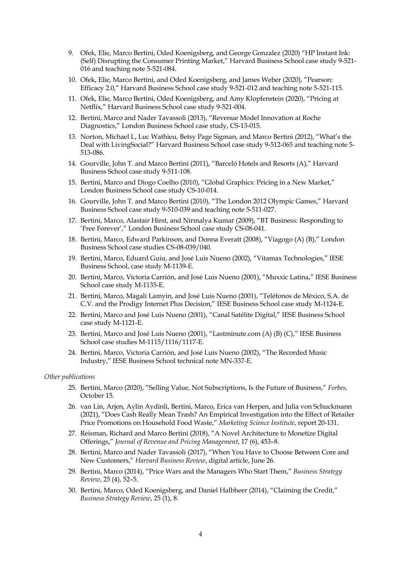- 9. Ofek, Elie, Marco Bertini, Oded Koenigsberg, and George Gonzalez (2020) "HP Instant Ink: (Self) Disrupting the Consumer Printing Market," Harvard Business School case study 9-521- 016 and teaching note 5-521-084.
- 10. Ofek, Elie, Marco Bertini, and Oded Koenigsberg, and James Weber (2020), "Pearson: Efficacy 2.0," Harvard Business School case study 9-521-012 and teaching note 5-521-115.
- 11. Ofek, Elie, Marco Bertini, Oded Koenigsberg, and Amy Klopfenstein (2020), "Pricing at Netflix," Harvard Business School case study 9-521-004.
- 12. Bertini, Marco and Nader Tavassoli (2013), "Revenue Model Innovation at Roche Diagnostics," London Business School case study, CS-13-015.
- 13. Norton, Michael I., Luc Wathieu, Betsy Page Sigman, and Marco Bertini (2012), "What's the Deal with LivingSocial?" Harvard Business School case study 9-512-065 and teaching note 5- 513-086.
- 14. Gourville, John T. and Marco Bertini (2011), "Barceló Hotels and Resorts (A)," Harvard Business School case study 9-511-108.
- 15. Bertini, Marco and Diogo Coelho (2010), "Global Graphics: Pricing in a New Market," London Business School case study CS-10-014.
- 16. Gourville, John T. and Marco Bertini (2010), "The London 2012 Olympic Games," Harvard Business School case study 9-510-039 and teaching note 5-511-027.
- 17. Bertini, Marco, Alastair Hirst, and Nirmalya Kumar (2009), "BT Business: Responding to 'Free Forever'," London Business School case study CS-08-041.
- 18. Bertini, Marco, Edward Parkinson, and Donna Everatt (2008), "Viagogo (A) (B)," London Business School case studies CS-08-039/040.
- 19. Bertini, Marco, Eduard Guiu, and José Luis Nueno (2002), "Vitamax Technologies," IESE Business School, case study M-1139-E.
- 20. Bertini, Marco, Victoria Carrión, and José Luis Nueno (2001), "Muxxic Latina," IESE Business School case study M-1135-E.
- 21. Bertini, Marco, Magali Lamyin, and José Luis Nueno (2001), "Teléfonos de México, S.A. de C.V. and the Prodigy Internet Plus Decision," IESE Business School case study M-1124-E.
- 22. Bertini, Marco and José Luis Nueno (2001), "Canal Satélite Digital," IESE Business School case study M-1121-E.
- 23. Bertini, Marco and José Luis Nueno (2001), "Lastminute.com (A) (B) (C)," IESE Business School case studies M-1115/1116/1117-E.
- 24. Bertini, Marco, Victoria Carrión, and José Luis Nueno (2002), "The Recorded Music Industry," IESE Business School technical note MN-337-E.

### *Other publications*

- 25. Bertini, Marco (2020), "Selling Value, Not Subscriptions, Is the Future of Business," *Forbes*, October 15.
- 26. van Lin, Arjen, Aylin Aydinli, Bertini, Marco, Erica van Herpen, and Julia von Schuckmann (2021), "Does Cash Really Mean Trash? An Empirical Investigation into the Effect of Retailer Price Promotions on Household Food Waste," *Marketing Science Institute*, report 20-131.
- 27. Reisman, Richard and Marco Bertini (2018), "A Novel Architecture to Monetize Digital Offerings," *Journal of Revenue and Pricing Management*, 17 (6), 453–8.
- 28. Bertini, Marco and Nader Tavassoli (2017), "When You Have to Choose Between Core and New Customers," *Harvard Business Review*, digital article, June 26.
- 29. Bertini, Marco (2014), "Price Wars and the Managers Who Start Them," *Business Strategy Review*, 25 (4), 52–5.
- 30. Bertini, Marco, Oded Koenigsberg, and Daniel Halbheer (2014), "Claiming the Credit," *Business Strategy Review*, 25 (1), 8.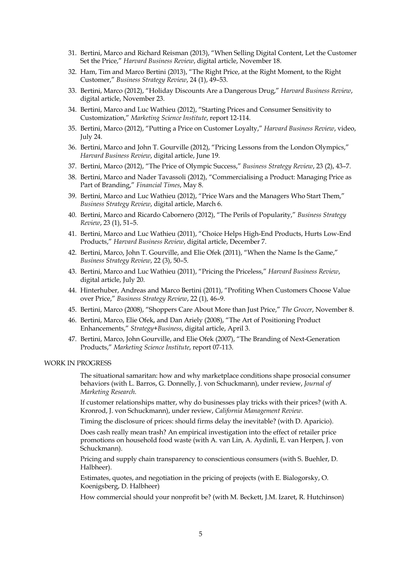- 31. Bertini, Marco and Richard Reisman (2013), "When Selling Digital Content, Let the Customer Set the Price," *Harvard Business Review*, digital article, November 18.
- 32. Ham, Tim and Marco Bertini (2013), "The Right Price, at the Right Moment, to the Right Customer," *Business Strategy Review*, 24 (1), 49–53.
- 33. Bertini, Marco (2012), "Holiday Discounts Are a Dangerous Drug," *Harvard Business Review*, digital article, November 23.
- 34. Bertini, Marco and Luc Wathieu (2012), "Starting Prices and Consumer Sensitivity to Customization," *Marketing Science Institute*, report 12-114.
- 35. Bertini, Marco (2012), "Putting a Price on Customer Loyalty," *Harvard Business Review*, video, July 24.
- 36. Bertini, Marco and John T. Gourville (2012), "Pricing Lessons from the London Olympics," *Harvard Business Review*, digital article, June 19.
- 37. Bertini, Marco (2012), "The Price of Olympic Success," *Business Strategy Review*, 23 (2), 43–7.
- 38. Bertini, Marco and Nader Tavassoli (2012), "Commercialising a Product: Managing Price as Part of Branding," *Financial Times*, May 8.
- 39. Bertini, Marco and Luc Wathieu (2012), "Price Wars and the Managers Who Start Them," *Business Strategy Review*, digital article, March 6.
- 40. Bertini, Marco and Ricardo Cabornero (2012), "The Perils of Popularity," *Business Strategy Review*, 23 (1), 51–5.
- 41. Bertini, Marco and Luc Wathieu (2011), "Choice Helps High-End Products, Hurts Low-End Products," *Harvard Business Review*, digital article, December 7.
- 42. Bertini, Marco, John T. Gourville, and Elie Ofek (2011), "When the Name Is the Game," *Business Strategy Review*, 22 (3), 50–5.
- 43. Bertini, Marco and Luc Wathieu (2011), "Pricing the Priceless," *Harvard Business Review*, digital article, July 20.
- 44. Hinterhuber, Andreas and Marco Bertini (2011), "Profiting When Customers Choose Value over Price," *Business Strategy Review*, 22 (1), 46–9.
- 45. Bertini, Marco (2008), "Shoppers Care About More than Just Price," *The Grocer*, November 8.
- 46. Bertini, Marco, Elie Ofek, and Dan Ariely (2008), "The Art of Positioning Product Enhancements," *Strategy+Business*, digital article, April 3.
- 47. Bertini, Marco, John Gourville, and Elie Ofek (2007), "The Branding of Next-Generation Products," *Marketing Science Institute*, report 07-113.

#### WORK IN PROGRESS

The situational samaritan: how and why marketplace conditions shape prosocial consumer behaviors (with L. Barros, G. Donnelly, J. von Schuckmann), under review, *Journal of Marketing Research*.

If customer relationships matter, why do businesses play tricks with their prices? (with A. Kronrod, J. von Schuckmann), under review, *California Management Review*.

Timing the disclosure of prices: should firms delay the inevitable? (with D. Aparicio).

Does cash really mean trash? An empirical investigation into the effect of retailer price promotions on household food waste (with A. van Lin, A. Aydinli, E. van Herpen, J. von Schuckmann).

Pricing and supply chain transparency to conscientious consumers (with S. Buehler, D. Halbheer).

Estimates, quotes, and negotiation in the pricing of projects (with E. Bialogorsky, O. Koenigsberg, D. Halbheer)

How commercial should your nonprofit be? (with M. Beckett, J.M. Izaret, R. Hutchinson)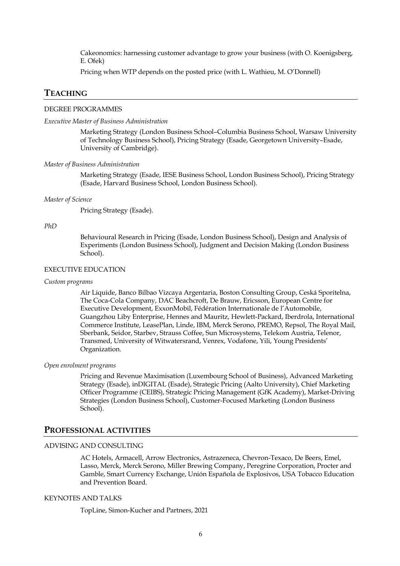Cakeonomics: harnessing customer advantage to grow your business (with O. Koenigsberg, E. Ofek)

Pricing when WTP depends on the posted price (with L. Wathieu, M. O'Donnell)

# **TEACHING**

### DEGREE PROGRAMMES

#### *Executive Master of Business Administration*

Marketing Strategy (London Business School–Columbia Business School, Warsaw University of Technology Business School), Pricing Strategy (Esade, Georgetown University–Esade, University of Cambridge).

#### *Master of Business Administration*

Marketing Strategy (Esade, IESE Business School, London Business School), Pricing Strategy (Esade, Harvard Business School, London Business School).

#### *Master of Science*

Pricing Strategy (Esade).

#### *PhD*

Behavioural Research in Pricing (Esade, London Business School), Design and Analysis of Experiments (London Business School), Judgment and Decision Making (London Business School).

#### EXECUTIVE EDUCATION

#### *Custom programs*

Air Liquide, Banco Bilbao Vizcaya Argentaria, Boston Consulting Group, Ceská Sporitelna, The Coca-Cola Company, DAC Beachcroft, De Brauw, Ericsson, European Centre for Executive Development, ExxonMobil, Fédération Internationale de l'Automobile, Guangzhou Liby Enterprise, Hennes and Mauritz, Hewlett-Packard, Iberdrola, International Commerce Institute, LeasePlan, Linde, IBM, Merck Serono, PREMO, Repsol, The Royal Mail, Sberbank, Seidor, Starbev, Strauss Coffee, Sun Microsystems, Telekom Austria, Telenor, Transmed, University of Witwatersrand, Venrex, Vodafone, Yili, Young Presidents' Organization.

#### *Open enrolment programs*

Pricing and Revenue Maximisation (Luxembourg School of Business), Advanced Marketing Strategy (Esade), inDIGITAL (Esade), Strategic Pricing (Aalto University), Chief Marketing Officer Programme (CEIBS), Strategic Pricing Management (GfK Academy), Market-Driving Strategies (London Business School), Customer-Focused Marketing (London Business School).

### **PROFESSIONAL ACTIVITIES**

### ADVISING AND CONSULTING

AC Hotels, Armacell, Arrow Electronics, Astrazeneca, Chevron-Texaco, De Beers, Emel, Lasso, Merck, Merck Serono, Miller Brewing Company, Peregrine Corporation, Procter and Gamble, Smart Currency Exchange, Unión Española de Explosivos, USA Tobacco Education and Prevention Board.

#### KEYNOTES AND TALKS

TopLine, Simon-Kucher and Partners, 2021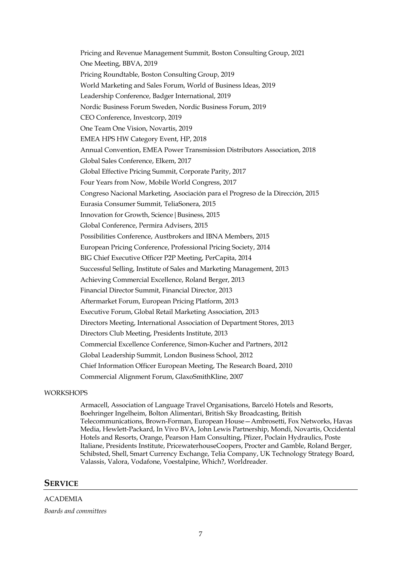Pricing and Revenue Management Summit, Boston Consulting Group, 2021 One Meeting, BBVA, 2019 Pricing Roundtable, Boston Consulting Group, 2019 World Marketing and Sales Forum, World of Business Ideas, 2019 Leadership Conference, Badger International, 2019 Nordic Business Forum Sweden, Nordic Business Forum, 2019 CEO Conference, Investcorp, 2019 One Team One Vision, Novartis, 2019 EMEA HPS HW Category Event, HP, 2018 Annual Convention, EMEA Power Transmission Distributors Association, 2018 Global Sales Conference, Elkem, 2017 Global Effective Pricing Summit, Corporate Parity, 2017 Four Years from Now, Mobile World Congress, 2017 Congreso Nacional Marketing, Asociación para el Progreso de la Dirección, 2015 Eurasia Consumer Summit, TeliaSonera, 2015 Innovation for Growth, Science|Business, 2015 Global Conference, Permira Advisers, 2015 Possibilities Conference, Austbrokers and IBNA Members, 2015 European Pricing Conference, Professional Pricing Society, 2014 BIG Chief Executive Officer P2P Meeting, PerCapita, 2014 Successful Selling, Institute of Sales and Marketing Management, 2013 Achieving Commercial Excellence, Roland Berger, 2013 Financial Director Summit, Financial Director, 2013 Aftermarket Forum, European Pricing Platform, 2013 Executive Forum, Global Retail Marketing Association, 2013 Directors Meeting, International Association of Department Stores, 2013 Directors Club Meeting, Presidents Institute, 2013 Commercial Excellence Conference, Simon-Kucher and Partners, 2012 Global Leadership Summit, London Business School, 2012 Chief Information Officer European Meeting, The Research Board, 2010 Commercial Alignment Forum, GlaxoSmithKline, 2007

### **WORKSHOPS**

Armacell, Association of Language Travel Organisations, Barceló Hotels and Resorts, Boehringer Ingelheim, Bolton Alimentari, British Sky Broadcasting, British Telecommunications, Brown-Forman, European House—Ambrosetti, Fox Networks, Havas Media, Hewlett-Packard, In Vivo BVA, John Lewis Partnership, Mondi, Novartis, Occidental Hotels and Resorts, Orange, Pearson Ham Consulting, Pfizer, Poclain Hydraulics, Poste Italiane, Presidents Institute, PricewaterhouseCoopers, Procter and Gamble, Roland Berger, Schibsted, Shell, Smart Currency Exchange, Telia Company, UK Technology Strategy Board, Valassis, Valora, Vodafone, Voestalpine, Which?, Worldreader.

### **SERVICE**

ACADEMIA *Boards and committees*